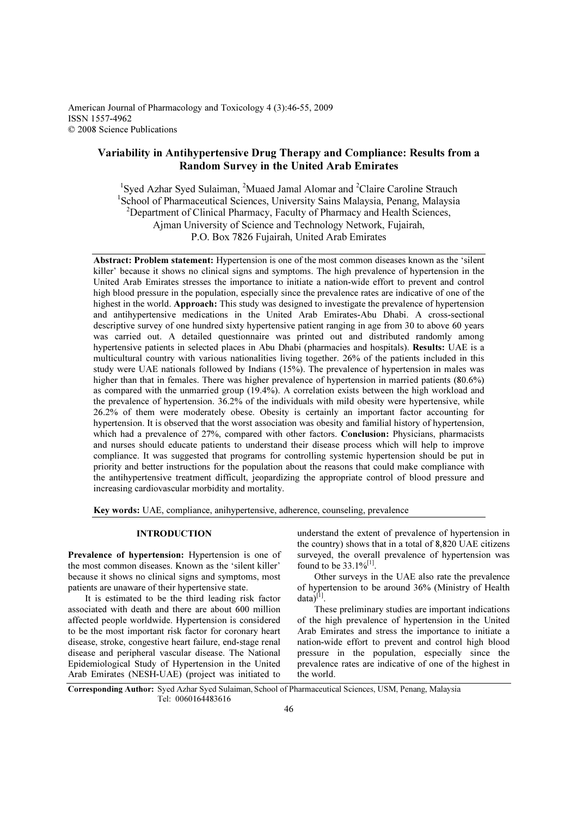American Journal of Pharmacology and Toxicology 4 (3):46-55, 2009 ISSN 1557-4962 © 2008 Science Publications

# Variability in Antihypertensive Drug Therapy and Compliance: Results from a Random Survey in the United Arab Emirates

<sup>1</sup>Syed Azhar Syed Sulaiman, <sup>2</sup>Muaed Jamal Alomar and <sup>2</sup>Claire Caroline Strauch <sup>1</sup>School of Pharmaceutical Sciences, University Sains Malaysia, Penang, Malaysia <sup>2</sup>Department of Clinical Pharmacy, Faculty of Pharmacy and Health Sciences, Ajman University of Science and Technology Network, Fujairah, P.O. Box 7826 Fujairah, United Arab Emirates

Abstract: Problem statement: Hypertension is one of the most common diseases known as the 'silent killer' because it shows no clinical signs and symptoms. The high prevalence of hypertension in the United Arab Emirates stresses the importance to initiate a nation-wide effort to prevent and control high blood pressure in the population, especially since the prevalence rates are indicative of one of the highest in the world. Approach: This study was designed to investigate the prevalence of hypertension and antihypertensive medications in the United Arab Emirates-Abu Dhabi. A cross-sectional descriptive survey of one hundred sixty hypertensive patient ranging in age from 30 to above 60 years was carried out. A detailed questionnaire was printed out and distributed randomly among hypertensive patients in selected places in Abu Dhabi (pharmacies and hospitals). Results: UAE is a multicultural country with various nationalities living together. 26% of the patients included in this study were UAE nationals followed by Indians (15%). The prevalence of hypertension in males was higher than that in females. There was higher prevalence of hypertension in married patients (80.6%) as compared with the unmarried group (19.4%). A correlation exists between the high workload and the prevalence of hypertension. 36.2% of the individuals with mild obesity were hypertensive, while 26.2% of them were moderately obese. Obesity is certainly an important factor accounting for hypertension. It is observed that the worst association was obesity and familial history of hypertension, which had a prevalence of 27%, compared with other factors. Conclusion: Physicians, pharmacists and nurses should educate patients to understand their disease process which will help to improve compliance. It was suggested that programs for controlling systemic hypertension should be put in priority and better instructions for the population about the reasons that could make compliance with the antihypertensive treatment difficult, jeopardizing the appropriate control of blood pressure and increasing cardiovascular morbidity and mortality.

Key words: UAE, compliance, anihypertensive, adherence, counseling, prevalence

#### INTRODUCTION

Prevalence of hypertension: Hypertension is one of the most common diseases. Known as the 'silent killer' because it shows no clinical signs and symptoms, most patients are unaware of their hypertensive state.

 It is estimated to be the third leading risk factor associated with death and there are about 600 million affected people worldwide. Hypertension is considered to be the most important risk factor for coronary heart disease, stroke, congestive heart failure, end-stage renal disease and peripheral vascular disease. The National Epidemiological Study of Hypertension in the United Arab Emirates (NESH-UAE) (project was initiated to

understand the extent of prevalence of hypertension in the country) shows that in a total of 8,820 UAE citizens surveyed, the overall prevalence of hypertension was found to be  $33.1\%^{[1]}$ .

 Other surveys in the UAE also rate the prevalence of hypertension to be around 36% (Ministry of Health data) $^{[1]}$ .

 These preliminary studies are important indications of the high prevalence of hypertension in the United Arab Emirates and stress the importance to initiate a nation-wide effort to prevent and control high blood pressure in the population, especially since the prevalence rates are indicative of one of the highest in the world.

Corresponding Author: Syed Azhar Syed Sulaiman, School of Pharmaceutical Sciences, USM, Penang, Malaysia Tel: 0060164483616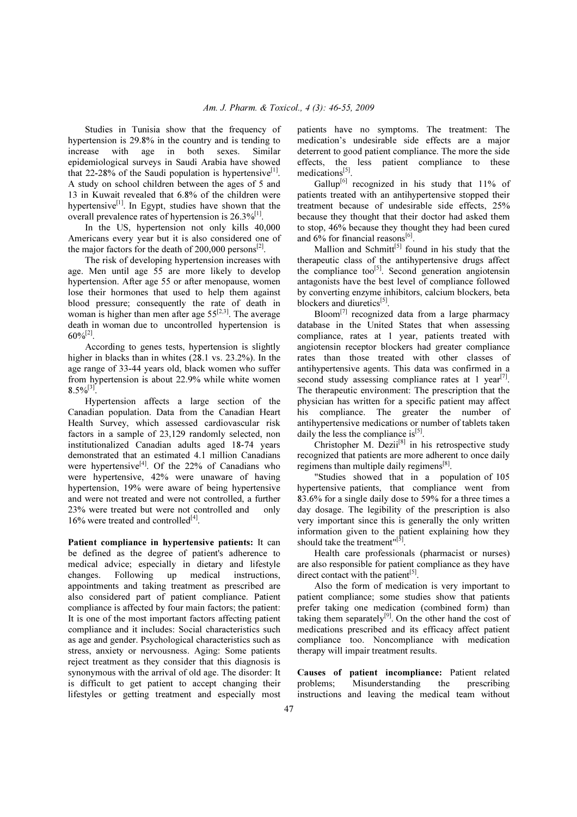Studies in Tunisia show that the frequency of hypertension is 29.8% in the country and is tending to increase with age in both sexes. Similar epidemiological surveys in Saudi Arabia have showed that 22-28% of the Saudi population is hypertensive $[1]$ . A study on school children between the ages of 5 and 13 in Kuwait revealed that 6.8% of the children were hypertensive $^{[1]}$ . In Egypt, studies have shown that the overall prevalence rates of hypertension is  $26.3\%^{[1]}$ .

 In the US, hypertension not only kills 40,000 Americans every year but it is also considered one of the major factors for the death of 200,000 persons $^{[2]}$ .

 The risk of developing hypertension increases with age. Men until age 55 are more likely to develop hypertension. After age 55 or after menopause, women lose their hormones that used to help them against blood pressure; consequently the rate of death in woman is higher than men after age  $55^{[2,3]}$ . The average death in woman due to uncontrolled hypertension is  $60\%^{[2]}$ .

 According to genes tests, hypertension is slightly higher in blacks than in whites (28.1 vs. 23.2%). In the age range of 33-44 years old, black women who suffer from hypertension is about 22.9% while white women  $8.5\%^{[3]}$ .

 Hypertension affects a large section of the Canadian population. Data from the Canadian Heart Health Survey, which assessed cardiovascular risk factors in a sample of 23,129 randomly selected, non institutionalized Canadian adults aged 18-74 years demonstrated that an estimated 4.1 million Canadians were hypertensive<sup>[4]</sup>. Of the 22% of Canadians who were hypertensive, 42% were unaware of having hypertension, 19% were aware of being hypertensive and were not treated and were not controlled, a further 23% were treated but were not controlled and only  $16\%$  were treated and controlled<sup>[4]</sup>.

Patient compliance in hypertensive patients: It can be defined as the degree of patient's adherence to medical advice; especially in dietary and lifestyle changes. Following up medical instructions, appointments and taking treatment as prescribed are also considered part of patient compliance. Patient compliance is affected by four main factors; the patient: It is one of the most important factors affecting patient compliance and it includes: Social characteristics such as age and gender. Psychological characteristics such as stress, anxiety or nervousness. Aging: Some patients reject treatment as they consider that this diagnosis is synonymous with the arrival of old age. The disorder: It is difficult to get patient to accept changing their lifestyles or getting treatment and especially most patients have no symptoms. The treatment: The medication's undesirable side effects are a major deterrent to good patient compliance. The more the side effects, the less patient compliance to these medications<sup>[5]</sup>.

Gallup<sup>[6]</sup> recognized in his study that  $11\%$  of patients treated with an antihypertensive stopped their treatment because of undesirable side effects, 25% because they thought that their doctor had asked them to stop, 46% because they thought they had been cured and  $6\%$  for financial reasons<sup>[6]</sup>.

Mallion and Schmitt<sup>[5]</sup> found in his study that the therapeutic class of the antihypertensive drugs affect the compliance too<sup>[5]</sup>. Second generation angiotensin antagonists have the best level of compliance followed by converting enzyme inhibitors, calcium blockers, beta blockers and diuretics<sup>[5]</sup>.

 Bloom[7] recognized data from a large pharmacy database in the United States that when assessing compliance, rates at 1 year, patients treated with angiotensin receptor blockers had greater compliance rates than those treated with other classes of antihypertensive agents. This data was confirmed in a second study assessing compliance rates at 1 year<sup>[7]</sup>. The therapeutic environment: The prescription that the physician has written for a specific patient may affect his compliance. The greater the number of antihypertensive medications or number of tablets taken daily the less the compliance is  $[5]$ .

Christopher M.  $\operatorname{Dezii}^{[8]}$  in his retrospective study recognized that patients are more adherent to once daily regimens than multiple daily regimens $^{[8]}$ .

 "Studies showed that in a population of 105 hypertensive patients, that compliance went from 83.6% for a single daily dose to 59% for a three times a day dosage. The legibility of the prescription is also very important since this is generally the only written information given to the patient explaining how they should take the treatment"<sup>[5]</sup>.

 Health care professionals (pharmacist or nurses) are also responsible for patient compliance as they have direct contact with the patient $^{[5]}$ .

 Also the form of medication is very important to patient compliance; some studies show that patients prefer taking one medication (combined form) than taking them separately $[9]$ . On the other hand the cost of medications prescribed and its efficacy affect patient compliance too. Noncompliance with medication therapy will impair treatment results.

Causes of patient incompliance: Patient related problems; Misunderstanding the prescribing instructions and leaving the medical team without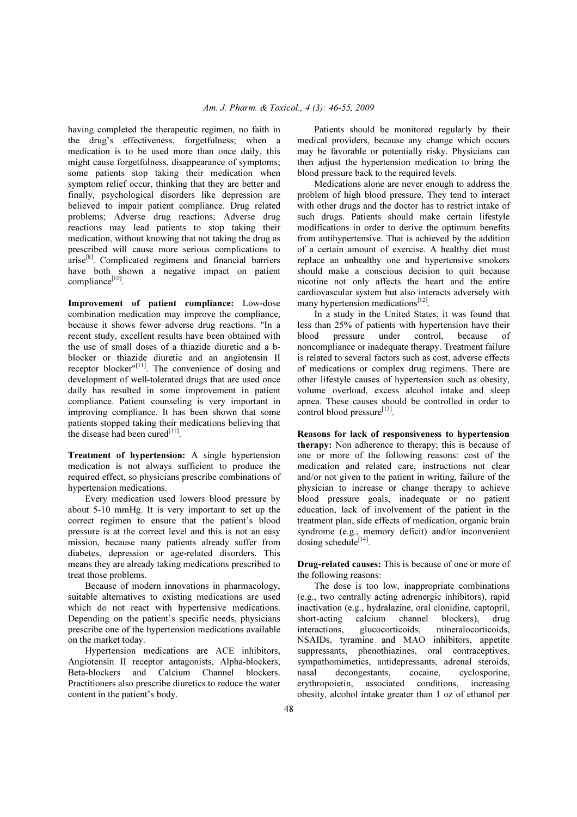having completed the therapeutic regimen, no faith in the drug's effectiveness, forgetfulness; when a medication is to be used more than once daily, this might cause forgetfulness, disappearance of symptoms; some patients stop taking their medication when symptom relief occur, thinking that they are better and finally, psychological disorders like depression are believed to impair patient compliance. Drug related problems; Adverse drug reactions; Adverse drug reactions may lead patients to stop taking their medication, without knowing that not taking the drug as prescribed will cause more serious complications to arise<sup>[8]</sup>. Complicated regimens and financial barriers have both shown a negative impact on patient compliance<sup>[10]</sup>.

Improvement of patient compliance: Low-dose combination medication may improve the compliance, because it shows fewer adverse drug reactions. "In a recent study, excellent results have been obtained with the use of small doses of a thiazide diuretic and a bblocker or thiazide diuretic and an angiotensin II receptor blocker"<sup>[11]</sup>. The convenience of dosing and development of well-tolerated drugs that are used once daily has resulted in some improvement in patient compliance. Patient counseling is very important in improving compliance. It has been shown that some patients stopped taking their medications believing that the disease had been cured $[11]$ .

Treatment of hypertension: A single hypertension medication is not always sufficient to produce the required effect, so physicians prescribe combinations of hypertension medications.

 Every medication used lowers blood pressure by about 5-10 mmHg. It is very important to set up the correct regimen to ensure that the patient's blood pressure is at the correct level and this is not an easy mission, because many patients already suffer from diabetes, depression or age-related disorders. This means they are already taking medications prescribed to treat those problems.

 Because of modern innovations in pharmacology, suitable alternatives to existing medications are used which do not react with hypertensive medications. Depending on the patient's specific needs, physicians prescribe one of the hypertension medications available on the market today.

 Hypertension medications are ACE inhibitors, Angiotensin II receptor antagonists, Alpha-blockers, Beta-blockers and Calcium Channel blockers. Practitioners also prescribe diuretics to reduce the water content in the patient's body.

 Patients should be monitored regularly by their medical providers, because any change which occurs may be favorable or potentially risky. Physicians can then adjust the hypertension medication to bring the blood pressure back to the required levels.

 Medications alone are never enough to address the problem of high blood pressure. They tend to interact with other drugs and the doctor has to restrict intake of such drugs. Patients should make certain lifestyle modifications in order to derive the optimum benefits from antihypertensive. That is achieved by the addition of a certain amount of exercise. A healthy diet must replace an unhealthy one and hypertensive smokers should make a conscious decision to quit because nicotine not only affects the heart and the entire cardiovascular system but also interacts adversely with many hypertension medications<sup>[12]</sup>.

 In a study in the United States, it was found that less than 25% of patients with hypertension have their blood pressure under control, because of noncompliance or inadequate therapy. Treatment failure is related to several factors such as cost, adverse effects of medications or complex drug regimens. There are other lifestyle causes of hypertension such as obesity, volume overload, excess alcohol intake and sleep apnea. These causes should be controlled in order to control blood pressure<sup>[13]</sup>.

Reasons for lack of responsiveness to hypertension therapy: Non adherence to therapy; this is because of one or more of the following reasons: cost of the medication and related care, instructions not clear and/or not given to the patient in writing, failure of the physician to increase or change therapy to achieve blood pressure goals, inadequate or no patient education, lack of involvement of the patient in the treatment plan, side effects of medication, organic brain syndrome (e.g., memory deficit) and/or inconvenient dosing schedule $^{[14]}$ .

Drug-related causes: This is because of one or more of the following reasons:

 The dose is too low, inappropriate combinations (e.g., two centrally acting adrenergic inhibitors), rapid inactivation (e.g., hydralazine, oral clonidine, captopril, short-acting calcium channel blockers), drug interactions, glucocorticoids, mineralocorticoids, NSAIDs, tyramine and MAO inhibitors, appetite suppressants, phenothiazines, oral contraceptives, sympathomimetics, antidepressants, adrenal steroids, nasal decongestants, cocaine, cyclosporine, erythropoietin, associated conditions, increasing obesity, alcohol intake greater than 1 oz of ethanol per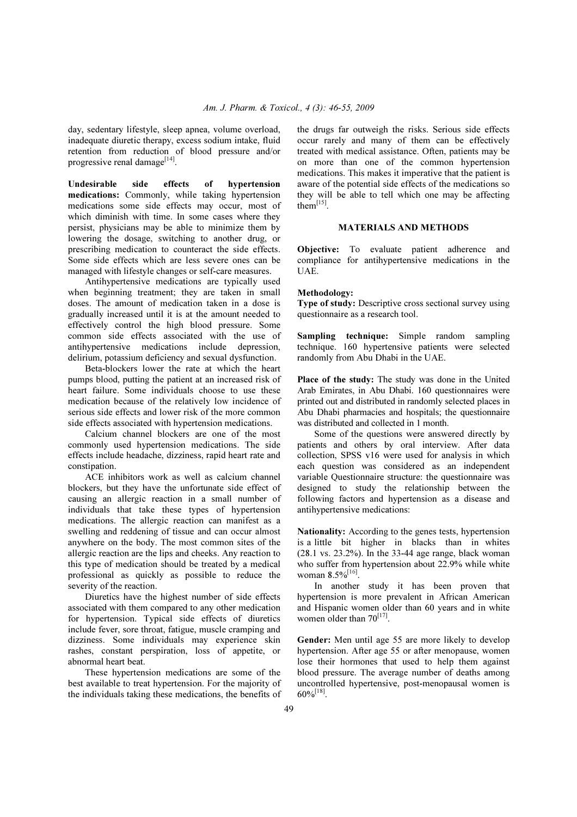day, sedentary lifestyle, sleep apnea, volume overload, inadequate diuretic therapy, excess sodium intake, fluid retention from reduction of blood pressure and/or progressive renal damage<sup>[14]</sup>.

Undesirable side effects of hypertension medications: Commonly, while taking hypertension medications some side effects may occur, most of which diminish with time. In some cases where they persist, physicians may be able to minimize them by lowering the dosage, switching to another drug, or prescribing medication to counteract the side effects. Some side effects which are less severe ones can be managed with lifestyle changes or self-care measures.

 Antihypertensive medications are typically used when beginning treatment; they are taken in small doses. The amount of medication taken in a dose is gradually increased until it is at the amount needed to effectively control the high blood pressure. Some common side effects associated with the use of antihypertensive medications include depression, delirium, potassium deficiency and sexual dysfunction.

 Beta-blockers lower the rate at which the heart pumps blood, putting the patient at an increased risk of heart failure. Some individuals choose to use these medication because of the relatively low incidence of serious side effects and lower risk of the more common side effects associated with hypertension medications.

 Calcium channel blockers are one of the most commonly used hypertension medications. The side effects include headache, dizziness, rapid heart rate and constipation.

 ACE inhibitors work as well as calcium channel blockers, but they have the unfortunate side effect of causing an allergic reaction in a small number of individuals that take these types of hypertension medications. The allergic reaction can manifest as a swelling and reddening of tissue and can occur almost anywhere on the body. The most common sites of the allergic reaction are the lips and cheeks. Any reaction to this type of medication should be treated by a medical professional as quickly as possible to reduce the severity of the reaction.

 Diuretics have the highest number of side effects associated with them compared to any other medication for hypertension. Typical side effects of diuretics include fever, sore throat, fatigue, muscle cramping and dizziness. Some individuals may experience skin rashes, constant perspiration, loss of appetite, or abnormal heart beat.

 These hypertension medications are some of the best available to treat hypertension. For the majority of the individuals taking these medications, the benefits of the drugs far outweigh the risks. Serious side effects occur rarely and many of them can be effectively treated with medical assistance. Often, patients may be on more than one of the common hypertension medications. This makes it imperative that the patient is aware of the potential side effects of the medications so they will be able to tell which one may be affecting them $^{[15]}$ .

## MATERIALS AND METHODS

Objective: To evaluate patient adherence and compliance for antihypertensive medications in the UAE.

#### Methodology:

Type of study: Descriptive cross sectional survey using questionnaire as a research tool.

Sampling technique: Simple random sampling technique. 160 hypertensive patients were selected randomly from Abu Dhabi in the UAE.

Place of the study: The study was done in the United Arab Emirates, in Abu Dhabi. 160 questionnaires were printed out and distributed in randomly selected places in Abu Dhabi pharmacies and hospitals; the questionnaire was distributed and collected in 1 month.

 Some of the questions were answered directly by patients and others by oral interview. After data collection, SPSS v16 were used for analysis in which each question was considered as an independent variable Questionnaire structure: the questionnaire was designed to study the relationship between the following factors and hypertension as a disease and antihypertensive medications:

Nationality: According to the genes tests, hypertension is a little bit higher in blacks than in whites (28.1 vs. 23.2%). In the 33-44 age range, black woman who suffer from hypertension about 22.9% while white woman  $8.5\%$ <sup>[16]</sup>.

 In another study it has been proven that hypertension is more prevalent in African American and Hispanic women older than 60 years and in white women older than  $70^{[17]}$ .

Gender: Men until age 55 are more likely to develop hypertension. After age 55 or after menopause, women lose their hormones that used to help them against blood pressure. The average number of deaths among uncontrolled hypertensive, post-menopausal women is  $60\%^{[18]}.$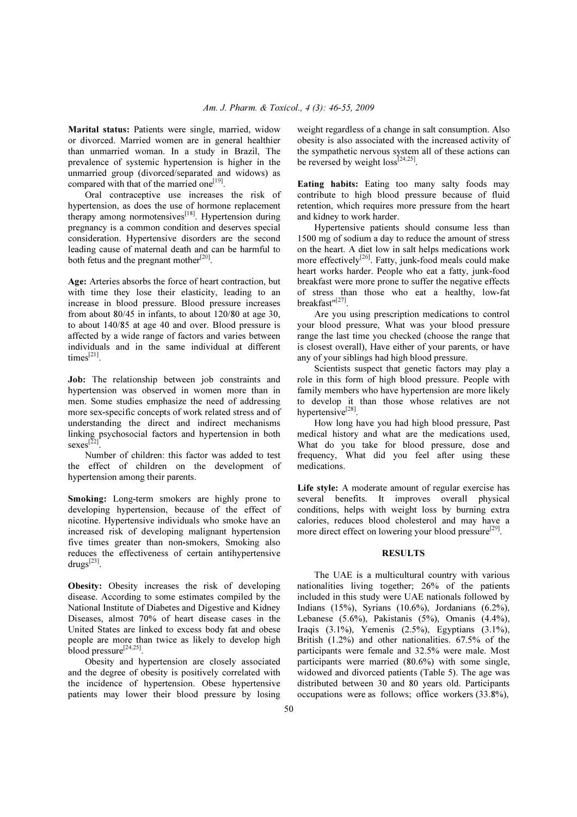Marital status: Patients were single, married, widow or divorced. Married women are in general healthier than unmarried woman. In a study in Brazil, The prevalence of systemic hypertension is higher in the unmarried group (divorced/separated and widows) as compared with that of the married one<sup>[19]</sup>.

 Oral contraceptive use increases the risk of hypertension, as does the use of hormone replacement therapy among normotensives<sup>[18]</sup>. Hypertension during pregnancy is a common condition and deserves special consideration. Hypertensive disorders are the second leading cause of maternal death and can be harmful to both fetus and the pregnant mother<sup>[20]</sup>.

Age: Arteries absorbs the force of heart contraction, but with time they lose their elasticity, leading to an increase in blood pressure. Blood pressure increases from about 80/45 in infants, to about 120/80 at age 30, to about 140/85 at age 40 and over. Blood pressure is affected by a wide range of factors and varies between individuals and in the same individual at different times $^{[21]}$ .

Job: The relationship between job constraints and hypertension was observed in women more than in men. Some studies emphasize the need of addressing more sex-specific concepts of work related stress and of understanding the direct and indirect mechanisms linking psychosocial factors and hypertension in both  $sexes^{[22]}$ .

 Number of children: this factor was added to test the effect of children on the development of hypertension among their parents.

Smoking: Long-term smokers are highly prone to developing hypertension, because of the effect of nicotine. Hypertensive individuals who smoke have an increased risk of developing malignant hypertension five times greater than non-smokers, Smoking also reduces the effectiveness of certain antihypertensive  $drugs^{[23]}$ .

Obesity: Obesity increases the risk of developing disease. According to some estimates compiled by the National Institute of Diabetes and Digestive and Kidney Diseases, almost 70% of heart disease cases in the United States are linked to excess body fat and obese people are more than twice as likely to develop high blood pressure $^{[24,25]}$ .

 Obesity and hypertension are closely associated and the degree of obesity is positively correlated with the incidence of hypertension. Obese hypertensive patients may lower their blood pressure by losing weight regardless of a change in salt consumption. Also obesity is also associated with the increased activity of the sympathetic nervous system all of these actions can be reversed by weight  $loss^{[24,25]}$ .

Eating habits: Eating too many salty foods may contribute to high blood pressure because of fluid retention, which requires more pressure from the heart and kidney to work harder.

 Hypertensive patients should consume less than 1500 mg of sodium a day to reduce the amount of stress on the heart. A diet low in salt helps medications work more effectively<sup>[26]</sup>. Fatty, junk-food meals could make heart works harder. People who eat a fatty, junk-food breakfast were more prone to suffer the negative effects of stress than those who eat a healthy, low-fat breakfast"<sup>[27]</sup>.

 Are you using prescription medications to control your blood pressure, What was your blood pressure range the last time you checked (choose the range that is closest overall), Have either of your parents, or have any of your siblings had high blood pressure.

 Scientists suspect that genetic factors may play a role in this form of high blood pressure. People with family members who have hypertension are more likely to develop it than those whose relatives are not hypertensive<sup>[28]</sup>.

 How long have you had high blood pressure, Past medical history and what are the medications used, What do you take for blood pressure, dose and frequency, What did you feel after using these medications.

Life style: A moderate amount of regular exercise has several benefits. It improves overall physical conditions, helps with weight loss by burning extra calories, reduces blood cholesterol and may have a more direct effect on lowering your blood pressure<sup>[29]</sup>.

#### **RESULTS**

 The UAE is a multicultural country with various nationalities living together; 26% of the patients included in this study were UAE nationals followed by Indians (15%), Syrians (10.6%), Jordanians (6.2%), Lebanese (5.6%), Pakistanis (5%), Omanis (4.4%), Iraqis (3.1%), Yemenis (2.5%), Egyptians (3.1%), British (1.2%) and other nationalities. 67.5% of the participants were female and 32.5% were male. Most participants were married (80.6%) with some single, widowed and divorced patients (Table 5). The age was distributed between 30 and 80 years old. Participants occupations were as follows; office workers (33.8%),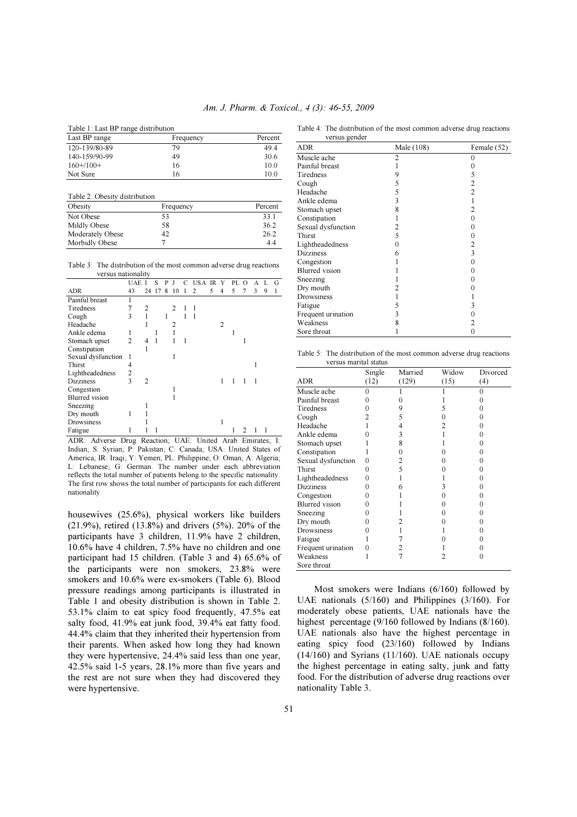|  |  |  |  |  | Table 1: Last BP range distribution |
|--|--|--|--|--|-------------------------------------|
|--|--|--|--|--|-------------------------------------|

| Last BP range | Frequency | Percent |
|---------------|-----------|---------|
| 120-139/80-89 | 79        | 49.4    |
| 140-159/90-99 | 49        | 30.6    |
| $160+/100+$   | 16        | 10.0    |
| Not Sure      | 16        | 10.0    |

| Table 2: Obesity distribution |           |         |
|-------------------------------|-----------|---------|
| Obesity                       | Frequency | Percent |
| Not Obese                     | 53        | 33.1    |
| Mildly Obese                  | 58        | 36.2    |
| Moderately Obese              | 42        | 26.2    |
| Morbidly Obese                |           | 44      |

Table 3: The distribution of the most common adverse drug reactions versus nationality

|                       | UAE            |                | s  | P |    | USA | IR. | Y | PL. | $\Omega$ | А |   | G |
|-----------------------|----------------|----------------|----|---|----|-----|-----|---|-----|----------|---|---|---|
| ADR                   | 43             | 24             | 17 | 8 | 10 | 2   | 5   | 4 | 5   | 7        | 3 | 9 |   |
| Painful breast        | 1              |                |    |   |    |     |     |   |     |          |   |   |   |
| Tiredness             | 7              | 2              |    |   | 2  |     |     |   |     |          |   |   |   |
| Cough                 | 3              |                |    |   |    | 1   |     |   |     |          |   |   |   |
| Headache              |                |                |    |   | 2  |     |     | 2 |     |          |   |   |   |
| Ankle edema           | 1              |                |    |   |    |     |     |   |     |          |   |   |   |
| Stomach upset         | $\overline{c}$ | 4              |    |   |    |     |     |   |     |          |   |   |   |
| Constipation          |                |                |    |   |    |     |     |   |     |          |   |   |   |
| Sexual dysfunction    | 1              |                |    |   |    |     |     |   |     |          |   |   |   |
| Thirst                | 4              |                |    |   |    |     |     |   |     |          |   |   |   |
| Lightheadedness       | 2              |                |    |   |    |     |     |   |     |          |   |   |   |
| Dizziness             | 3              | $\overline{c}$ |    |   |    |     |     | 1 | 1   | 1        | 1 |   |   |
| Congestion            |                |                |    |   |    |     |     |   |     |          |   |   |   |
| <b>Blurred</b> vision |                |                |    |   |    |     |     |   |     |          |   |   |   |
| Sneezing              |                |                |    |   |    |     |     |   |     |          |   |   |   |
| Dry mouth             |                |                |    |   |    |     |     |   |     |          |   |   |   |
| Drowsiness            |                |                |    |   |    |     |     |   |     |          |   |   |   |
| Fatigue<br>$\sim$     |                |                |    |   |    |     |     |   |     |          |   |   |   |

ADR: Adverse Drug Reaction; UAE: United Arab Emirates; I: Indian; S: Syrian; P: Pakistan; C: Canada; USA: United States of America; IR: Iraqi; Y: Yemen; PL: Philippine; O: Oman; A: Algeria; L: Lebanese; G: German. The number under each abbreviation reflects the total number of patients belong to the specific nationality. The first row shows the total number of participants for each different nationality

housewives (25.6%), physical workers like builders (21.9%), retired (13.8%) and drivers (5%). 20% of the participants have 3 children, 11.9% have 2 children, 10.6% have 4 children, 7.5% have no children and one participant had 15 children. (Table 3 and 4) 65.6% of the participants were non smokers, 23.8% were smokers and 10.6% were ex-smokers (Table 6). Blood pressure readings among participants is illustrated in Table 1 and obesity distribution is shown in Table 2. 53.1% claim to eat spicy food frequently, 47.5% eat salty food, 41.9% eat junk food, 39.4% eat fatty food. 44.4% claim that they inherited their hypertension from their parents. When asked how long they had known they were hypertensive, 24.4% said less than one year, 42.5% said 1-5 years, 28.1% more than five years and the rest are not sure when they had discovered they were hypertensive.

Table 4: The distribution of the most common adverse drug reactions versus gender

| versus genuer         |            |                   |
|-----------------------|------------|-------------------|
| <b>ADR</b>            | Male (108) | Female (52)       |
| Muscle ache           | 2          | $\Omega$          |
| Painful breast        |            |                   |
| Tiredness             | 9          | 5                 |
| Cough                 | 5          | 2                 |
| Headache              | 5          | $\overline{c}$    |
| Ankle edema           | 3          |                   |
| Stomach upset         | 8          | 2                 |
| Constipation          |            | 0                 |
| Sexual dysfunction    | 2          | 0                 |
| Thirst                | 5          | 0                 |
| Lightheadedness       | 0          | 2                 |
| <b>Dizziness</b>      | 6          | 3                 |
| Congestion            |            | 0                 |
| <b>Blurred</b> vision |            | $\left( \right)$  |
| Sneezing              |            | 0                 |
| Dry mouth             |            |                   |
| Drowsiness            |            |                   |
| Fatigue               | 5          | 3                 |
| Frequent urination    | 3          | $\mathbf{\Omega}$ |
| Weakness              | 8          | 2                 |
| Sore throat           |            | 0                 |

Table 5: The distribution of the most common adverse drug reactions versus marital status

| Single           | Married | Widow | Divorced |
|------------------|---------|-------|----------|
| (12)             | (129)   | (15)  | (4)      |
| $\theta$         |         |       | 0        |
| 0                |         |       |          |
| 0                | 9       | 5     | 0        |
| 2                | 5       |       |          |
|                  | 4       | 2     | 0        |
| $\cup$           | 3       |       | 0        |
|                  | 8       |       |          |
|                  | 0       |       | 0        |
| 0                | 2       |       |          |
| 0                | 5       |       | 0        |
| 0                |         |       |          |
| 0                | 6       | 3     |          |
| 0                |         |       | 0        |
| 0                |         |       |          |
| 0                |         |       |          |
| 0                |         |       |          |
| 0                |         |       | 0        |
|                  |         |       |          |
| $\left( \right)$ | 2       |       |          |
|                  |         | 7     | 0        |
|                  |         |       |          |
|                  |         |       |          |

 Most smokers were Indians (6/160) followed by UAE nationals (5/160) and Philippines (3/160). For moderately obese patients, UAE nationals have the highest percentage (9/160 followed by Indians (8/160). UAE nationals also have the highest percentage in eating spicy food (23/160) followed by Indians  $(14/160)$  and Syrians  $(11/160)$ . UAE nationals occupy the highest percentage in eating salty, junk and fatty food. For the distribution of adverse drug reactions over nationality Table 3.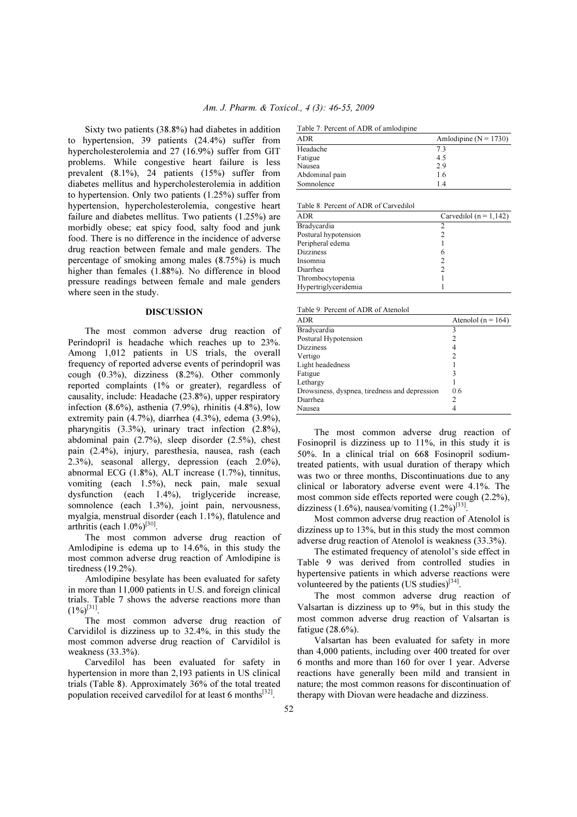Sixty two patients (38.8%) had diabetes in addition to hypertension, 39 patients (24.4%) suffer from hypercholesterolemia and 27 (16.9%) suffer from GIT problems. While congestive heart failure is less prevalent (8.1%), 24 patients (15%) suffer from diabetes mellitus and hypercholesterolemia in addition to hypertension. Only two patients (1.25%) suffer from hypertension, hypercholesterolemia, congestive heart failure and diabetes mellitus. Two patients (1.25%) are morbidly obese; eat spicy food, salty food and junk food. There is no difference in the incidence of adverse drug reaction between female and male genders. The percentage of smoking among males (8.75%) is much higher than females (1.88%). No difference in blood pressure readings between female and male genders where seen in the study.

### DISCUSSION

 The most common adverse drug reaction of Perindopril is headache which reaches up to 23%. Among 1,012 patients in US trials, the overall frequency of reported adverse events of perindopril was cough (0.3%), dizziness (8.2%). Other commonly reported complaints (1% or greater), regardless of causality, include: Headache (23.8%), upper respiratory infection  $(8.6\%)$ , asthenia  $(7.9\%)$ , rhinitis  $(4.8\%)$ , low extremity pain (4.7%), diarrhea (4.3%), edema (3.9%), pharyngitis (3.3%), urinary tract infection (2.8%), abdominal pain (2.7%), sleep disorder (2.5%), chest pain (2.4%), injury, paresthesia, nausea, rash (each 2.3%), seasonal allergy, depression (each 2.0%), abnormal ECG (1.8%), ALT increase (1.7%), tinnitus, vomiting (each 1.5%), neck pain, male sexual dysfunction (each 1.4%), triglyceride increase, somnolence (each 1.3%), joint pain, nervousness, myalgia, menstrual disorder (each 1.1%), flatulence and arthritis (each  $1.0\%$ )<sup>[30]</sup>.

 The most common adverse drug reaction of Amlodipine is edema up to 14.6%, in this study the most common adverse drug reaction of Amlodipine is tiredness (19.2%).

 Amlodipine besylate has been evaluated for safety in more than 11,000 patients in U.S. and foreign clinical trials. Table 7 shows the adverse reactions more than  $(1\%)^{[31]}$ .

 The most common adverse drug reaction of Carvidilol is dizziness up to 32.4%, in this study the most common adverse drug reaction of Carvidilol is weakness (33.3%).

 Carvedilol has been evaluated for safety in hypertension in more than 2,193 patients in US clinical trials (Table 8). Approximately 36% of the total treated population received carvedilol for at least 6 months<sup>[32]</sup>.

| Table 7: Percent of ADR of amlodipine |  |
|---------------------------------------|--|
|---------------------------------------|--|

| Amlodipine ( $N = 1730$ ) |
|---------------------------|
| 73                        |
| 4.5                       |
| 2.9                       |
| 1.6                       |
| 14                        |
|                           |

Table 8: Percent of ADR of Carvedilol

| <b>ADR</b>           | Carvedilol $(n = 1, 142)$ |
|----------------------|---------------------------|
| Bradycardia          | 2                         |
| Postural hypotension |                           |
| Peripheral edema     |                           |
| <b>Dizziness</b>     | 6                         |
| Insomnia             | 2                         |
| Diarrhea             |                           |
| Thrombocytopenia     |                           |
| Hypertriglyceridemia |                           |
|                      |                           |

Table 9: Percent of ADR of Atenolol

| ADR                                           | Atenolol ( $n = 164$ ) |
|-----------------------------------------------|------------------------|
| Bradycardia                                   |                        |
| Postural Hypotension                          |                        |
| <b>Dizziness</b>                              | 4                      |
| Vertigo                                       | 2                      |
| Light headedness                              |                        |
| Fatigue                                       | 3                      |
| Lethargy                                      |                        |
| Drowsiness, dyspnea, tiredness and depression | 0.6                    |
| Diarrhea                                      |                        |
| Nausea                                        | 4                      |

 The most common adverse drug reaction of Fosinopril is dizziness up to 11%, in this study it is 50%. In a clinical trial on 668 Fosinopril sodiumtreated patients, with usual duration of therapy which was two or three months, Discontinuations due to any clinical or laboratory adverse event were 4.1%. The most common side effects reported were cough (2.2%), dizziness (1.6%), nausea/vomiting  $(1.2\%)^{[33]}$ .

 Most common adverse drug reaction of Atenolol is dizziness up to 13%, but in this study the most common adverse drug reaction of Atenolol is weakness (33.3%).

 The estimated frequency of atenolol's side effect in Table 9 was derived from controlled studies in hypertensive patients in which adverse reactions were volunteered by the patients  $(US \, studies)^{[34]}$ .

 The most common adverse drug reaction of Valsartan is dizziness up to 9%, but in this study the most common adverse drug reaction of Valsartan is fatigue (28.6%).

 Valsartan has been evaluated for safety in more than 4,000 patients, including over 400 treated for over 6 months and more than 160 for over 1 year. Adverse reactions have generally been mild and transient in nature; the most common reasons for discontinuation of therapy with Diovan were headache and dizziness.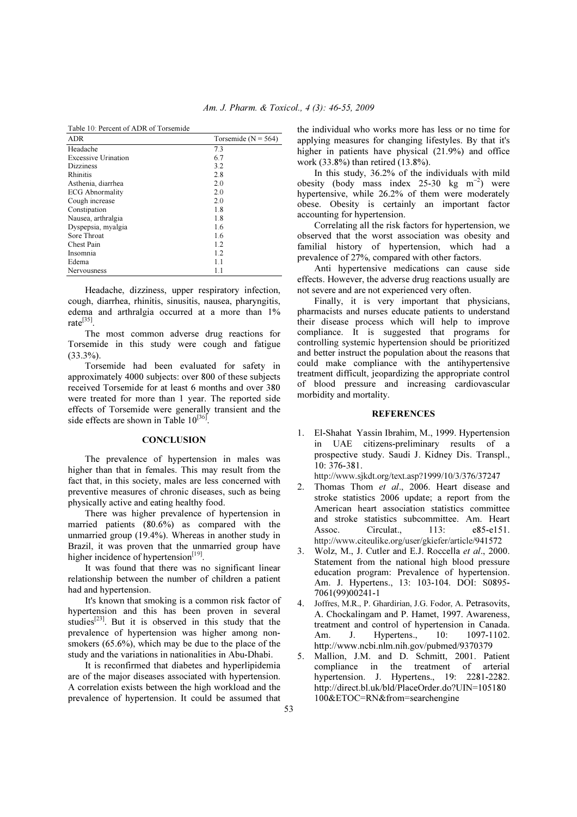Table 10: Percent of ADR of Torsemide

| <b>ADR</b>                 | Torsemide ( $N = 564$ ) |
|----------------------------|-------------------------|
| Headache                   | 73                      |
| <b>Excessive Urination</b> | 6.7                     |
| <b>Dizziness</b>           | 3.2                     |
| <b>Rhinitis</b>            | 2.8                     |
| Asthenia, diarrhea         | 2.0                     |
| <b>ECG Abnormality</b>     | 2.0                     |
| Cough increase             | 2.0                     |
| Constipation               | 1.8                     |
| Nausea, arthralgia         | 1.8                     |
| Dyspepsia, myalgia         | 1.6                     |
| Sore Throat                | 1.6                     |
| Chest Pain                 | 1.2                     |
| Insomnia                   | 1.2                     |
| Edema                      | 1.1                     |
| Nervousness                | 1.1                     |

 Headache, dizziness, upper respiratory infection, cough, diarrhea, rhinitis, sinusitis, nausea, pharyngitis, edema and arthralgia occurred at a more than 1% rate<sup>[35]</sup>.

 The most common adverse drug reactions for Torsemide in this study were cough and fatigue (33.3%).

 Torsemide had been evaluated for safety in approximately 4000 subjects: over 800 of these subjects received Torsemide for at least 6 months and over 380 were treated for more than 1 year. The reported side effects of Torsemide were generally transient and the side effects are shown in Table  $10^{[36]}$ .

#### **CONCLUSION**

 The prevalence of hypertension in males was higher than that in females. This may result from the fact that, in this society, males are less concerned with preventive measures of chronic diseases, such as being physically active and eating healthy food.

 There was higher prevalence of hypertension in married patients (80.6%) as compared with the unmarried group (19.4%). Whereas in another study in Brazil, it was proven that the unmarried group have higher incidence of hypertension<sup>[19]</sup>.

 It was found that there was no significant linear relationship between the number of children a patient had and hypertension.

 It's known that smoking is a common risk factor of hypertension and this has been proven in several studies<sup>[23]</sup>. But it is observed in this study that the prevalence of hypertension was higher among nonsmokers (65.6%), which may be due to the place of the study and the variations in nationalities in Abu-Dhabi.

 It is reconfirmed that diabetes and hyperlipidemia are of the major diseases associated with hypertension. A correlation exists between the high workload and the prevalence of hypertension. It could be assumed that the individual who works more has less or no time for applying measures for changing lifestyles. By that it's higher in patients have physical (21.9%) and office work (33.8%) than retired (13.8%).

 In this study, 36.2% of the individuals with mild obesity (body mass index 25-30 kg m<sup>-2</sup>) were hypertensive, while 26.2% of them were moderately obese. Obesity is certainly an important factor accounting for hypertension.

 Correlating all the risk factors for hypertension, we observed that the worst association was obesity and familial history of hypertension, which had a prevalence of 27%, compared with other factors.

 Anti hypertensive medications can cause side effects. However, the adverse drug reactions usually are not severe and are not experienced very often.

 Finally, it is very important that physicians, pharmacists and nurses educate patients to understand their disease process which will help to improve compliance. It is suggested that programs for controlling systemic hypertension should be prioritized and better instruct the population about the reasons that could make compliance with the antihypertensive treatment difficult, jeopardizing the appropriate control of blood pressure and increasing cardiovascular morbidity and mortality.

#### **REFERENCES**

1. El-Shahat Yassin Ibrahim, M., 1999. Hypertension in UAE citizens-preliminary results of a prospective study. Saudi J. Kidney Dis. Transpl., 10: 376-381.

http://www.sjkdt.org/text.asp?1999/10/3/376/37247

- 2. Thomas Thom *et al*., 2006. Heart disease and stroke statistics 2006 update; a report from the American heart association statistics committee and stroke statistics subcommittee. Am. Heart Assoc. Circulat., 113: e85-e151. http://www.citeulike.org/user/gkiefer/article/941572
- 3. Wolz, M., J. Cutler and E.J. Roccella *et al*., 2000. Statement from the national high blood pressure education program: Prevalence of hypertension. Am. J. Hypertens., 13: 103-104. DOI: S0895- 7061(99)00241-1
- 4. Joffres, M.R., P. Ghardirian, J.G. Fodor, A. Petrasovits, A. Chockalingam and P. Hamet, 1997. Awareness, treatment and control of hypertension in Canada. Am. J. Hypertens., 10: 1097-1102. http://www.ncbi.nlm.nih.gov/pubmed/9370379
- 5. Mallion, J.M. and D. Schmitt, 2001. Patient compliance in the treatment of arterial hypertension. J. Hypertens., 19: 2281-2282. http://direct.bl.uk/bld/PlaceOrder.do?UIN=105180 100&ETOC=RN&from=searchengine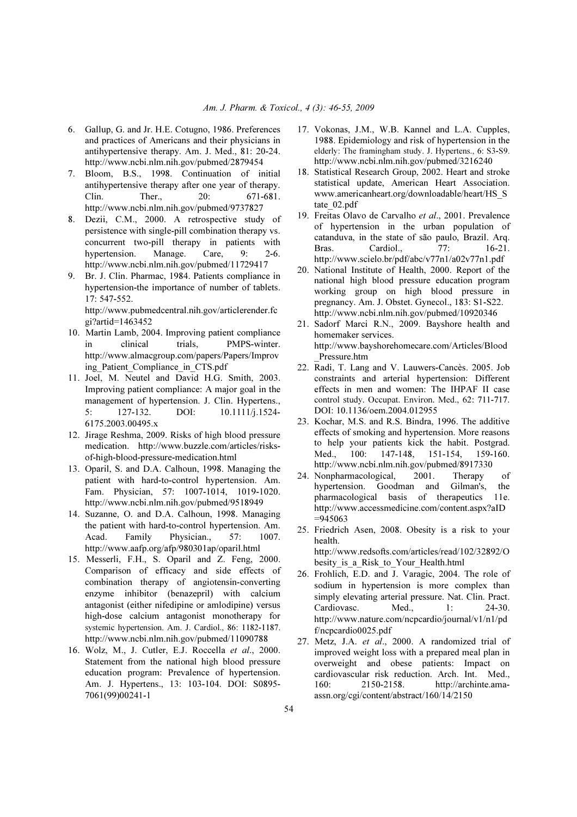- 6. Gallup, G. and Jr. H.E. Cotugno, 1986. Preferences and practices of Americans and their physicians in antihypertensive therapy. Am. J. Med., 81: 20-24. http://www.ncbi.nlm.nih.gov/pubmed/2879454
- 7. Bloom, B.S., 1998. Continuation of initial antihypertensive therapy after one year of therapy. Clin. Ther., 20: 671-681. http://www.ncbi.nlm.nih.gov/pubmed/9737827
- 8. Dezii, C.M., 2000. A retrospective study of persistence with single-pill combination therapy vs. concurrent two-pill therapy in patients with hypertension. Manage. Care, 9: 2-6. http://www.ncbi.nlm.nih.gov/pubmed/11729417
- 9. Br. J. Clin. Pharmac, 1984. Patients compliance in hypertension-the importance of number of tablets. 17: 547-552. http://www.pubmedcentral.nih.gov/articlerender.fc

gi?artid=1463452

- 10. Martin Lamb, 2004. Improving patient compliance in clinical trials, PMPS-winter. http://www.almacgroup.com/papers/Papers/Improv ing\_Patient\_Compliance\_in\_CTS.pdf
- 11. Joel, M. Neutel and David H.G. Smith, 2003. Improving patient compliance: A major goal in the management of hypertension. J. Clin. Hypertens.,<br>5: 127-132. DOI: 10.1111/i.1524-5: 127-132. DOI: 10.1111/j.1524- 6175.2003.00495.x
- 12. Jirage Reshma, 2009. Risks of high blood pressure medication. http://www.buzzle.com/articles/risksof-high-blood-pressure-medication.html
- 13. Oparil, S. and D.A. Calhoun, 1998. Managing the patient with hard-to-control hypertension. Am. Fam. Physician, 57: 1007-1014, 1019-1020. http://www.ncbi.nlm.nih.gov/pubmed/9518949
- 14. Suzanne, O. and D.A. Calhoun, 1998. Managing the patient with hard-to-control hypertension. Am. Acad. Family Physician., 57: 1007. http://www.aafp.org/afp/980301ap/oparil.html
- 15. Messerli, F.H., S. Oparil and Z. Feng, 2000. Comparison of efficacy and side effects of combination therapy of angiotensin-converting enzyme inhibitor (benazepril) with calcium antagonist (either nifedipine or amlodipine) versus high-dose calcium antagonist monotherapy for systemic hypertension. Am. J. Cardiol., 86: 1182-1187. http://www.ncbi.nlm.nih.gov/pubmed/11090788
- 16. Wolz, M., J. Cutler, E.J. Roccella *et al*., 2000. Statement from the national high blood pressure education program: Prevalence of hypertension. Am. J. Hypertens., 13: 103-104. DOI: S0895- 7061(99)00241-1
- 17. Vokonas, J.M., W.B. Kannel and L.A. Cupples, 1988. Epidemiology and risk of hypertension in the elderly: The framingham study. J. Hypertens., 6: S3-S9. http://www.ncbi.nlm.nih.gov/pubmed/3216240
- 18. Statistical Research Group, 2002. Heart and stroke statistical update, American Heart Association. www.americanheart.org/downloadable/heart/HS\_S tate 02.pdf
- 19. Freitas Olavo de Carvalho *et al*., 2001. Prevalence of hypertension in the urban population of catanduva, in the state of são paulo, Brazil. Arq. Bras. Cardiol., 77: 16-21. http://www.scielo.br/pdf/abc/v77n1/a02v77n1.pdf
- 20. National Institute of Health, 2000. Report of the national high blood pressure education program working group on high blood pressure in pregnancy. Am. J. Obstet. Gynecol., 183: S1-S22. http://www.ncbi.nlm.nih.gov/pubmed/10920346
- 21. Sadorf Marci R.N., 2009. Bayshore health and homemaker services. http://www.bayshorehomecare.com/Articles/Blood \_Pressure.htm
- 22. Radi, T. Lang and V. Lauwers-Cancès. 2005. Job constraints and arterial hypertension: Different effects in men and women: The IHPAF II case control study. Occupat. Environ. Med., 62: 711-717. DOI: 10.1136/oem.2004.012955
- 23. Kochar, M.S. and R.S. Bindra, 1996. The additive effects of smoking and hypertension. More reasons to help your patients kick the habit. Postgrad. Med., 100: 147-148, 151-154, 159-160. http://www.ncbi.nlm.nih.gov/pubmed/8917330
- 24. Nonpharmacological, 2001. Therapy of hypertension. Goodman and Gilman's, the pharmacological basis of therapeutics 11e. http://www.accessmedicine.com/content.aspx?aID =945063
- 25. Friedrich Asen, 2008. Obesity is a risk to your health. http://www.redsofts.com/articles/read/102/32892/O

besity is a Risk to Your Health.html

- 26. Frohlich, E.D. and J. Varagic, 2004. The role of sodium in hypertension is more complex than simply elevating arterial pressure. Nat. Clin. Pract. Cardiovasc. Med., 1: 24-30. http://www.nature.com/ncpcardio/journal/v1/n1/pd f/ncpcardio0025.pdf
- 27. Metz, J.A. *et al*., 2000. A randomized trial of improved weight loss with a prepared meal plan in overweight and obese patients: Impact on cardiovascular risk reduction. Arch. Int. Med., 160: 2150-2158. http://archinte.amaassn.org/cgi/content/abstract/160/14/2150